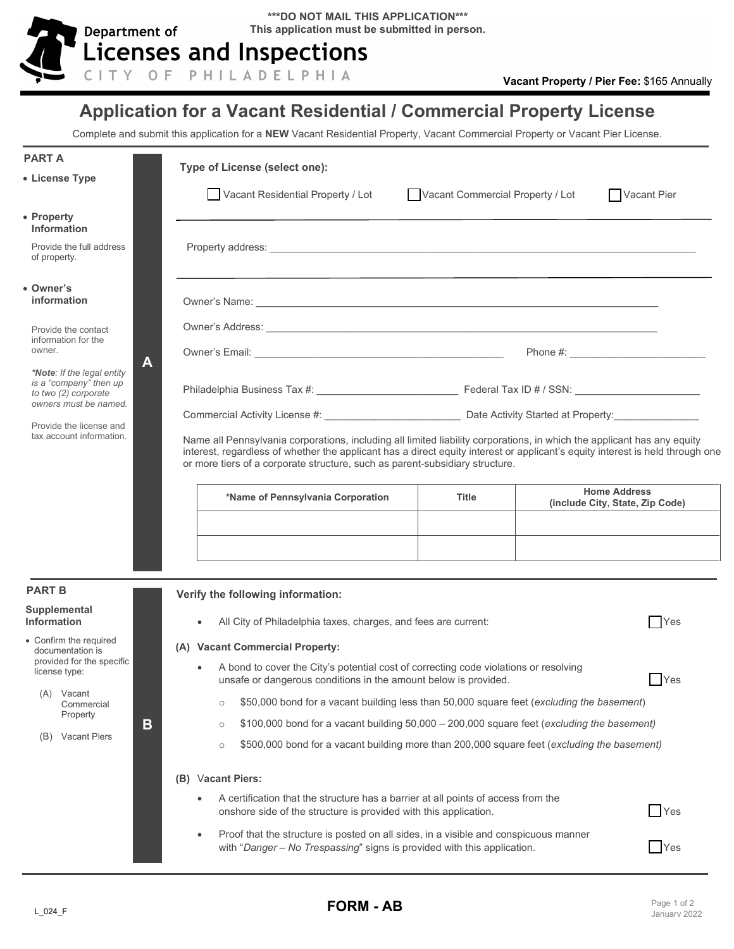

## **Application for a Vacant Residential / Commercial Property License**

Complete and submit this application for a **NEW** Vacant Residential Property, Vacant Commercial Property or Vacant Pier License.

| <b>PART A</b>                                                                                                                                                                            |                                                                                                                                                                | Type of License (select one):                                                                                                                                                                                                                                                                                                            |                                  |  |                                                        |  |
|------------------------------------------------------------------------------------------------------------------------------------------------------------------------------------------|----------------------------------------------------------------------------------------------------------------------------------------------------------------|------------------------------------------------------------------------------------------------------------------------------------------------------------------------------------------------------------------------------------------------------------------------------------------------------------------------------------------|----------------------------------|--|--------------------------------------------------------|--|
| • License Type                                                                                                                                                                           |                                                                                                                                                                | Vacant Residential Property / Lot                                                                                                                                                                                                                                                                                                        | Vacant Commercial Property / Lot |  | Vacant Pier                                            |  |
| • Property<br><b>Information</b><br>Provide the full address                                                                                                                             |                                                                                                                                                                |                                                                                                                                                                                                                                                                                                                                          |                                  |  |                                                        |  |
| of property.                                                                                                                                                                             |                                                                                                                                                                |                                                                                                                                                                                                                                                                                                                                          |                                  |  |                                                        |  |
| • Owner's<br>information                                                                                                                                                                 |                                                                                                                                                                |                                                                                                                                                                                                                                                                                                                                          |                                  |  |                                                        |  |
| Provide the contact<br>information for the<br>owner.<br>*Note: If the legal entity<br>is a "company" then up<br>to two (2) corporate<br>owners must be named.<br>Provide the license and |                                                                                                                                                                |                                                                                                                                                                                                                                                                                                                                          |                                  |  |                                                        |  |
|                                                                                                                                                                                          | A                                                                                                                                                              |                                                                                                                                                                                                                                                                                                                                          |                                  |  |                                                        |  |
|                                                                                                                                                                                          |                                                                                                                                                                |                                                                                                                                                                                                                                                                                                                                          |                                  |  |                                                        |  |
|                                                                                                                                                                                          |                                                                                                                                                                |                                                                                                                                                                                                                                                                                                                                          |                                  |  |                                                        |  |
| tax account information.                                                                                                                                                                 |                                                                                                                                                                | Name all Pennsylvania corporations, including all limited liability corporations, in which the applicant has any equity<br>interest, regardless of whether the applicant has a direct equity interest or applicant's equity interest is held through one<br>or more tiers of a corporate structure, such as parent-subsidiary structure. |                                  |  |                                                        |  |
|                                                                                                                                                                                          |                                                                                                                                                                | *Name of Pennsylvania Corporation                                                                                                                                                                                                                                                                                                        | <b>Title</b>                     |  | <b>Home Address</b><br>(include City, State, Zip Code) |  |
|                                                                                                                                                                                          |                                                                                                                                                                |                                                                                                                                                                                                                                                                                                                                          |                                  |  |                                                        |  |
|                                                                                                                                                                                          |                                                                                                                                                                |                                                                                                                                                                                                                                                                                                                                          |                                  |  |                                                        |  |
|                                                                                                                                                                                          |                                                                                                                                                                |                                                                                                                                                                                                                                                                                                                                          |                                  |  |                                                        |  |
| <b>PART B</b>                                                                                                                                                                            |                                                                                                                                                                |                                                                                                                                                                                                                                                                                                                                          |                                  |  |                                                        |  |
| Supplemental                                                                                                                                                                             |                                                                                                                                                                | Verify the following information:                                                                                                                                                                                                                                                                                                        |                                  |  |                                                        |  |
| Information                                                                                                                                                                              |                                                                                                                                                                | All City of Philadelphia taxes, charges, and fees are current:                                                                                                                                                                                                                                                                           |                                  |  | $\bigcap$ Yes                                          |  |
| • Confirm the required<br>documentation is<br>provided for the specific<br>license type:<br>(A)<br>Vacant<br>Commercial<br>Property<br>(B) Vacant Piers                                  |                                                                                                                                                                | (A) Vacant Commercial Property:                                                                                                                                                                                                                                                                                                          |                                  |  |                                                        |  |
|                                                                                                                                                                                          | A bond to cover the City's potential cost of correcting code violations or resolving<br>Yes<br>unsafe or dangerous conditions in the amount below is provided. |                                                                                                                                                                                                                                                                                                                                          |                                  |  |                                                        |  |
|                                                                                                                                                                                          |                                                                                                                                                                | \$50,000 bond for a vacant building less than 50,000 square feet (excluding the basement)<br>$\circ$                                                                                                                                                                                                                                     |                                  |  |                                                        |  |
|                                                                                                                                                                                          | B                                                                                                                                                              | \$100,000 bond for a vacant building 50,000 - 200,000 square feet (excluding the basement)<br>$\circ$                                                                                                                                                                                                                                    |                                  |  |                                                        |  |
|                                                                                                                                                                                          |                                                                                                                                                                | \$500,000 bond for a vacant building more than 200,000 square feet (excluding the basement)<br>$\circ$                                                                                                                                                                                                                                   |                                  |  |                                                        |  |
|                                                                                                                                                                                          |                                                                                                                                                                | (B) Vacant Piers:                                                                                                                                                                                                                                                                                                                        |                                  |  |                                                        |  |
|                                                                                                                                                                                          |                                                                                                                                                                | A certification that the structure has a barrier at all points of access from the<br>Yes<br>onshore side of the structure is provided with this application.                                                                                                                                                                             |                                  |  |                                                        |  |
|                                                                                                                                                                                          |                                                                                                                                                                | Proof that the structure is posted on all sides, in a visible and conspicuous manner<br>$\bullet$<br>with "Danger - No Trespassing" signs is provided with this application.                                                                                                                                                             |                                  |  | Yes                                                    |  |